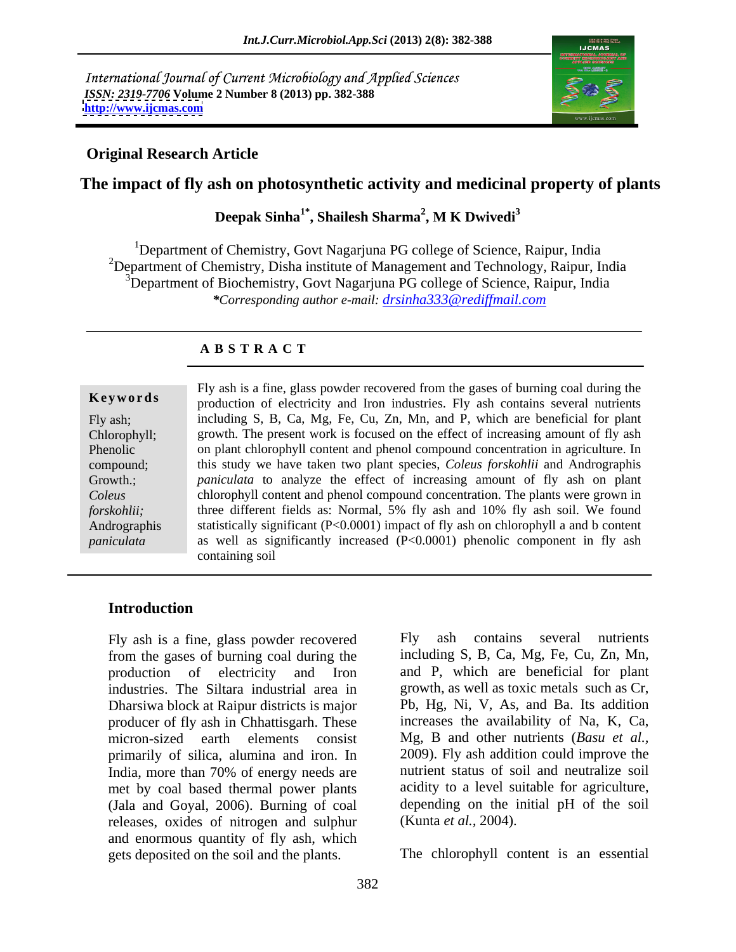International Journal of Current Microbiology and Applied Sciences *ISSN: 2319-7706* **Volume 2 Number 8 (2013) pp. 382-388 <http://www.ijcmas.com>**



## **Original Research Article**

# **The impact of fly ash on photosynthetic activity and medicinal property of plants**

Deepak Sinha<sup>1\*</sup>, Shailesh Sharma<sup>2</sup>, M K Dwivedi<sup>3</sup> **, M K Dwivedi<sup>3</sup>**

<sup>1</sup>Department of Chemistry, Govt Nagarjuna PG college of Science, Raipur, India <sup>2</sup>Department of Chemistry, Disha institute of Management and Technology, Raipur, India  $3$ Department of Biochemistry, Govt Nagarjuna PG college of Science, Raipur, India *\*Corresponding author e-mail: drsinha333@rediffmail.com*

### **A B S T R A C T**

**Keywords** production of electricity and Iron industries. Fly ash contains several nutrients Fly ash; including S, B, Ca, Mg, Fe, Cu, Zn, Mn, and P, which are beneficial for plant Chlorophyll; growth. The present work is focused on the effect of increasing amount of fly ash Phenolic on plant chlorophyll content and phenol compound concentration in agriculture. In compound; this study we have taken two plant species, *Coleus forskohlii* and Andrographis Growth.; *paniculata* to analyze the effect of increasing amount of fly ash on plant *Coleus*  chlorophyll content and phenol compound concentration. The plants were grown in *forskohlii;* three different fields as: Normal, 5% fly ash and 10% fly ash soil. We found Andrographis statistically significant (P<0.0001) impact of fly ash on chlorophyll a and b content *paniculata* as well as significantly increased (P<0.0001) phenolic component in fly ash Fly ash is a fine, glass powder recovered from the gases of burning coal during the containing soil

### **Introduction**

Fly ash is a fine, glass powder recovered Fly ash contains several nutrients from the gases of burning coal during the production of electricity and Iron and P, which are beneficial for plant industries. The Siltara industrial area in growth, as well as toxic metals such as Cr, Dharsiwa block at Raipur districts is major producer of fly ash in Chhattisgarh. These micron-sized earth elements consist Mg, B and other nutrients (*Basu et al.,* primarily of silica, alumina and iron. In India, more than 70% of energy needs are met by coal based thermal power plants (Jala and Goyal, 2006). Burning of coal depending on the i releases, oxides of nitrogen and sulphur (Kunta *et al.*, 2004). releases, oxides of nitrogen and sulphur and enormous quantity of fly ash, which gets deposited on the soil and the plants.

Fly ash contains several nutrients including S, B, Ca, Mg, Fe, Cu, Zn, Mn, Pb, Hg, Ni, V, As, and Ba. Its addition increases the availability of Na, K, Ca, 2009). Fly ash addition could improve the nutrient status of soil and neutralize soil acidity to a level suitable for agriculture, depending on the initial pH of the soil (Kunta *et al.,* 2004).

The chlorophyll content is an essential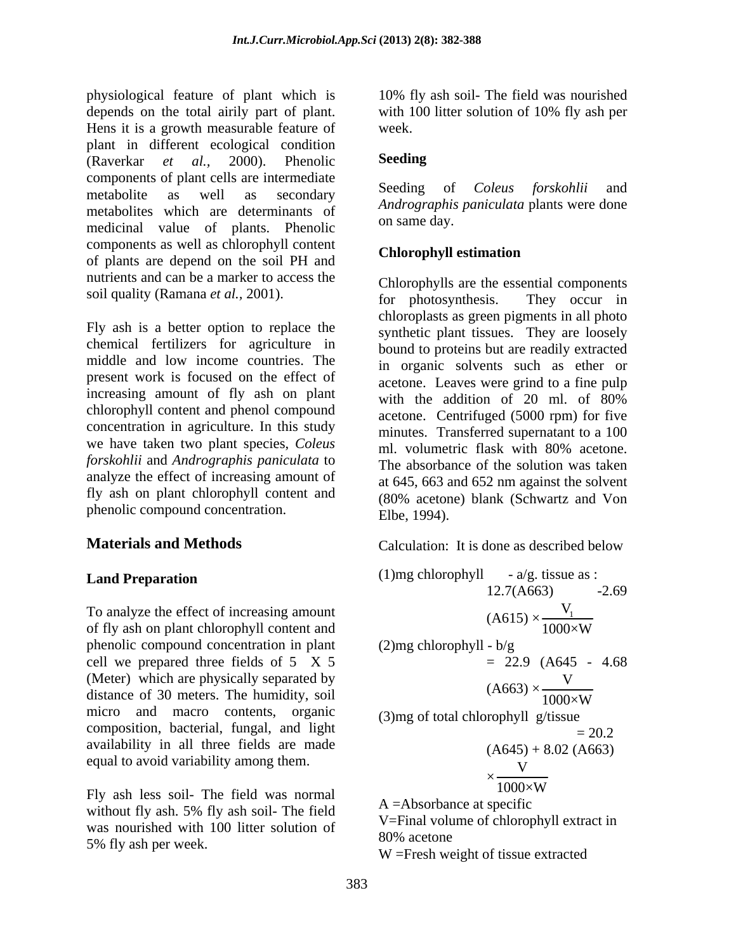physiological feature of plant which is 10% fly ash soil- The field was nourished depends on the total airily part of plant. with 100 litter solution of 10% fly ash per Hens it is a growth measurable feature of plant in different ecological condition<br>(Raverkar *et al.* 2000). Phenolic **Seeding** (Raverkar *et al.,* 2000). Phenolic components of plant cells are intermediate<br>
seeding of Coleus forskohlii and metabolite as well as secondary because of Coleas for skollar and metabolites which are determinants of *Anarographis*<br>on same day. medicinal value of plants. Phenolic components as well as chlorophyll content<br>
Chlorophyll estimation of plants are depend on the soil PH and nutrients and can be a marker to access the

Fly ash is a better option to replace the chemical fertilizers for agriculture in middle and low income countries. The present work is focused on the effect of increasing amount of fly ash on plant with the addition of 20 ml. of 80% chlorophyll content and phenol compound concentration in agriculture. In this study we have taken two plant species, *Coleus* and *minates.* Transferred supernature to a 150 ml. volumetric flask with 80% acetone. *forskohlii* and *Andrographis paniculata* to analyze the effect of increasing amount of fly ash on plant chlorophyll content and phenolic compound concentration. Elbe, 1994).

To analyze the effect of increasing amount of fly ash on plant chlorophyll content and phenolic compound concentration in plant cell we prepared three fields of 5 X 5 (Meter) which are physically separated by distance of 30 meters. The humidity, soil micro and macro contents, organic composition, bacterial, fungal, and light availability in all three fields are made equal to avoid variability among them.

Fly ash less soil- The field was normal without fly ash. 5% fly ash soil- The field was nourished with 100 litter solution of  $V =$ Final Volume 80% acetone 5% fly ash per week.

week.

### **Seeding**

Seeding of *Coleus forskohlii* and *Andrographis paniculata* plants were done on same day.

### **Chlorophyll estimation**

soil quality (Ramana *et al.*, 2001). <br>for photosynthesis. They occur in Chlorophylls are the essential components for photosynthesis. They occur in chloroplasts as green pigments in all photo synthetic plant tissues. They are loosely bound to proteins but are readily extracted in organic solvents such as ether or acetone. Leaves were grind to a fine pulp with the addition of 20 ml. of 80% acetone. Centrifuged (5000 rpm) for five minutes. Transferred supernatant to a 100 ml. volumetric flask with 80% acetone. The absorbance of the solution was taken at 645, 663 and 652 nm against the solvent (80% acetone) blank (Schwartz and Von Elbe, 1994).

**Materials and Methods** Calculation: It is done as described below Calculation: It is done as described below

**Land Preparation**\n(1)mg chlorophyll - a/g. tissue as :  
\nTo analyze the effect of increasing amount  
\nof fly ash on plant chlorophyll content and  
\nphenolic compound concentration in plant  
\ncell we prepared three fields of 5 X 5 = 22.9 (A645 - 4.68  
\n(Meter) which are physically separated by  
\ndistance of 30 meters. The humidity, soil  
\nmicro and macro contents, organic  
\navialability in all three fields are made  
\nequal to avoid variability among them.  
\n  
\nFly ash less soil- The field was normal  
\nwithout fly ash 5% fly ash soil- The field  
\nW  
\n
$$
x = \frac{V}{1000 \times W}
$$
\n(3)mg of total chlorophyll g/tissue  
\n
$$
= 20.2
$$
\n(2.4663)  
\n
$$
V = 22.9 (A645 - 4.68)
$$
\n
$$
V = 22.9 (A645 - 4.68)
$$
\n
$$
V = 22.9 (A645 - 4.68)
$$
\n
$$
V = 22.9 (A663)
$$
\n
$$
V = 22.9 (A663)
$$
\n
$$
V = 22.9 (A663)
$$
\n
$$
V = 22.9 (A663)
$$
\n
$$
V = 22.9 (A663)
$$
\n
$$
V = 22.9 (A663)
$$
\n
$$
V = 22.9 (A663)
$$
\n
$$
V = 22.9 (A663)
$$
\n
$$
V = 22.9 (A663)
$$
\n
$$
V = 22.9 (A645 - 4.68)
$$
\n
$$
V = 22.9 (A645 - 4.68)
$$
\n
$$
V = 22.9 (A645 - 4.68)
$$
\n
$$
V = 22.9 (A645 - 4.68)
$$
\n
$$
V = 22.9 (A645 - 4.68)
$$
\n
$$
V = 22.9 (A645 - 4.68)
$$
\n
$$
V = 22.9 (A645 - 4.68)
$$
\n
$$
V = 22.9 (A645 - 4.68)
$$
\n
$$
V = 22
$$

V=Final volume of chlorophyll extract in 80% acetone

W =Fresh weight of tissue extracted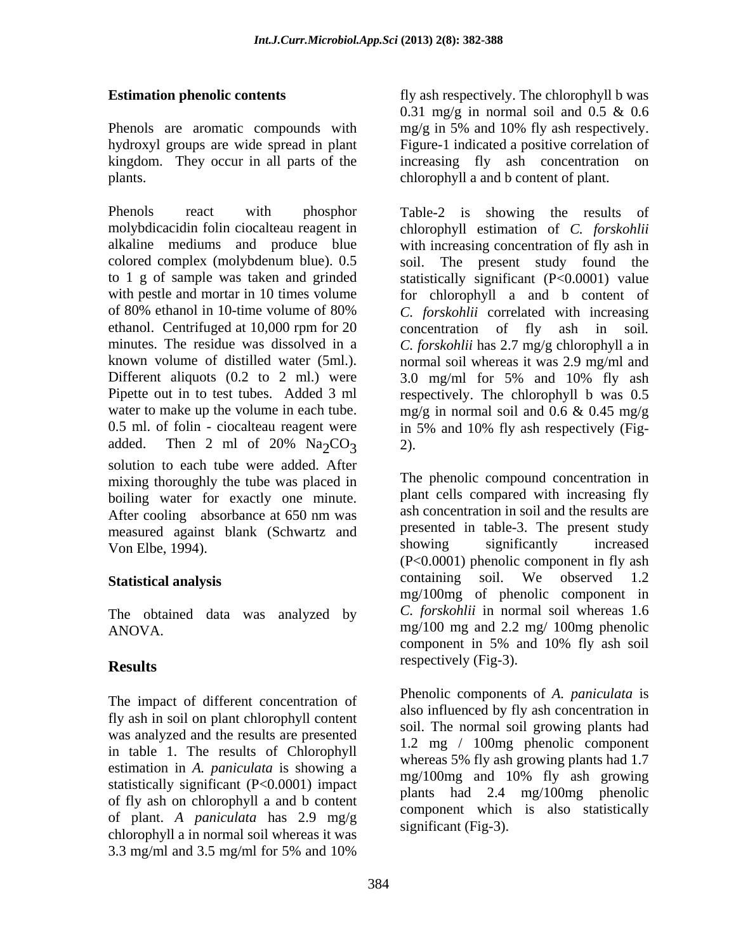plants. chlorophyll a and b content of plant.

minutes. The residue was dissolved in a c. forskohlii has 2.7 mg/g chlorophyll a in Different aliquots  $(0.2 \text{ to } 2 \text{ ml.})$  were  $3.0 \text{ mg/ml}$  for  $5\%$  and  $10\%$  fly ash water to make up the volume in each tube.  $mg/g$  in normal soil and 0.6 & 0.45 mg/g 0.5 ml. of folin - ciocalteau reagent were in 5% and 10% fly ash respectively (Figadded. Then 2 ml of  $20\%$  Na<sub>2</sub>CO<sub>3</sub> 2). solution to each tube were added. After mixing thoroughly the tube was placed in boiling water for exactly one minute. After cooling absorbance at 650 nm was measured against blank (Schwartz and presented in table-3. The present study<br>Non-Elbe 1994) showing significantly increased Von Elbe, 1994).

The obtained data was analyzed by

The impact of different concentration of fly ash in soil on plant chlorophyll content was analyzed and the results are presented in table 1. The results of Chlorophyll estimation in *A. paniculata* is showing a<br>mg/100mg and 10% fly ash growing statistically significant (P<0.0001) impact of fly ash on chlorophyll a and b content of plant. *A paniculata* has 2.9 mg/g chlorophyll a in normal soil whereas it was 3.3 mg/ml and 3.5 mg/ml for 5% and 10%

**Estimation phenolic contents** fly ash respectively. The chlorophyll b was Phenols are aromatic compounds with mg/g in 5% and 10% fly ash respectively. hydroxyl groups are wide spread in plant Figure-1 indicated a positive correlation of kingdom. They occur in all parts of the increasing fly ash concentration on 0.31 mg/g in normal soil and 0.5  $\&$  0.6

Phenols react with phosphor Table-2 is showing the results of molybdicacidin folin ciocalteau reagent in chlorophyll estimation of *C. forskohlii* alkaline mediums and produce blue with increasing concentration of fly ash in colored complex (molybdenum blue). 0.5 soil. The present study found the to 1 g of sample was taken and grinded statistically significant (P<0.0001) value with pestle and mortar in 10 times volume for chlorophyll a and b content of of 80% ethanol in 10-time volume of 80% C. *forskohlii* correlated with increasing ethanol. Centrifuged at 10,000 rpm for 20 concentration of fly ash in soil. known volume of distilled water (5ml.). <br>normal soil whereas it was 2.9 mg/ml and Pipette out in to test tubes. Added 3 ml respectively. The chlorophyll b was 0.5 *C. forskohlii* correlated with increasing concentration of fly ash in soil*. C. forskohlii* has 2.7 mg/g chlorophyll <sup>a</sup> in 3.0 mg/ml for 5% and 10% fly ash mg/g in normal soil and 0.6 & 0.45 mg/g in 5% and 10% fly ash respectively (Fig- 2).

**Statistical analysis** containing soil. We observed 1.2 ANOVA. mg/100 mg and 2.2 mg/ 100mg phenolic **Results** respectively (Fig-5). The phenolic compound concentration in plant cells compared with increasing fly ash concentration in soil and the results are presented in table-3. The present study showing significantly increased (P<0.0001) phenolic component in fly ash mg/100mg of phenolic component in *C. forskohlii* in normal soil whereas 1.6 component in 5% and 10% fly ash soil respectively (Fig-3).

> Phenolic components of *A. paniculata* is also influenced by fly ash concentration in soil. The normal soil growing plants had 1.2 mg / 100mg phenolic component whereas 5% fly ash growing plants had 1.7 mg/100mg and 10% fly ash growing plants had 2.4 mg/100mg phenolic component which is also statistically significant (Fig-3).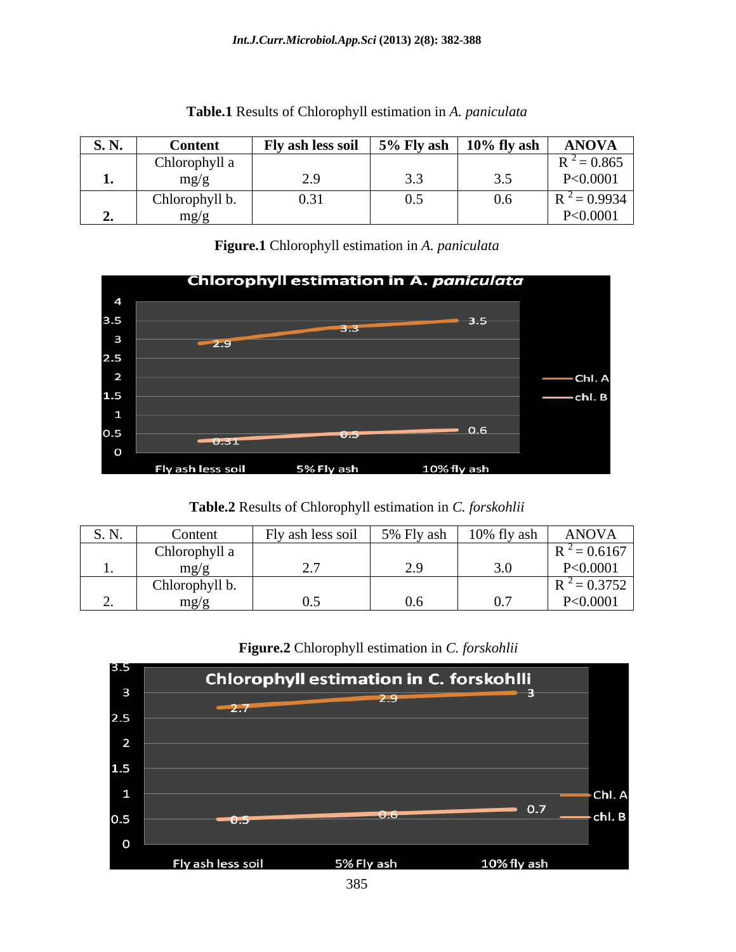| <b>S. N.</b> | <b>Conten</b>      | <b>Fly ash less soil</b> | $\frac{1}{2}$ 5% Fly ash $\frac{10\% \text{ fly}}{10}$ ash | <b>ANOVA</b>                |
|--------------|--------------------|--------------------------|------------------------------------------------------------|-----------------------------|
|              | Chlorophyll a      |                          |                                                            | $= 0.865$<br>$\mathbf{D}^2$ |
|              | mp/<br>--0' O      |                          |                                                            | P<0.0001                    |
|              | Chlorophyll b.     | 0.31<br><i>.</i>         |                                                            | $= 0.9934$                  |
|              | $m\alpha/$<br>____ |                          |                                                            | P<0.0001                    |

### **Table.1** Results of Chlorophyll estimation in *A. paniculata*

**Figure.1** Chlorophyll estimation in *A. paniculata*



# **Table.2** Results of Chlorophyll estimation in *C. forskohlii*

| $C \times I$<br>D.11. | <b>Content</b>        | Fly ash less soil | 5% Fly ash | 10% fly ash | <b>ANOVA</b>       |
|-----------------------|-----------------------|-------------------|------------|-------------|--------------------|
|                       | Chlorophyll a         |                   |            |             | $-0.6167$          |
|                       | $mp/\epsilon$<br>____ |                   |            |             | < 0.0001           |
|                       | Chlorophyll b.        |                   |            |             | $= 0.3752$<br>$ -$ |
|                       | $m\alpha/r$           |                   |            |             | < 0.0001           |

# **Figure.2** Chlorophyll estimation in *C. forskohlii*

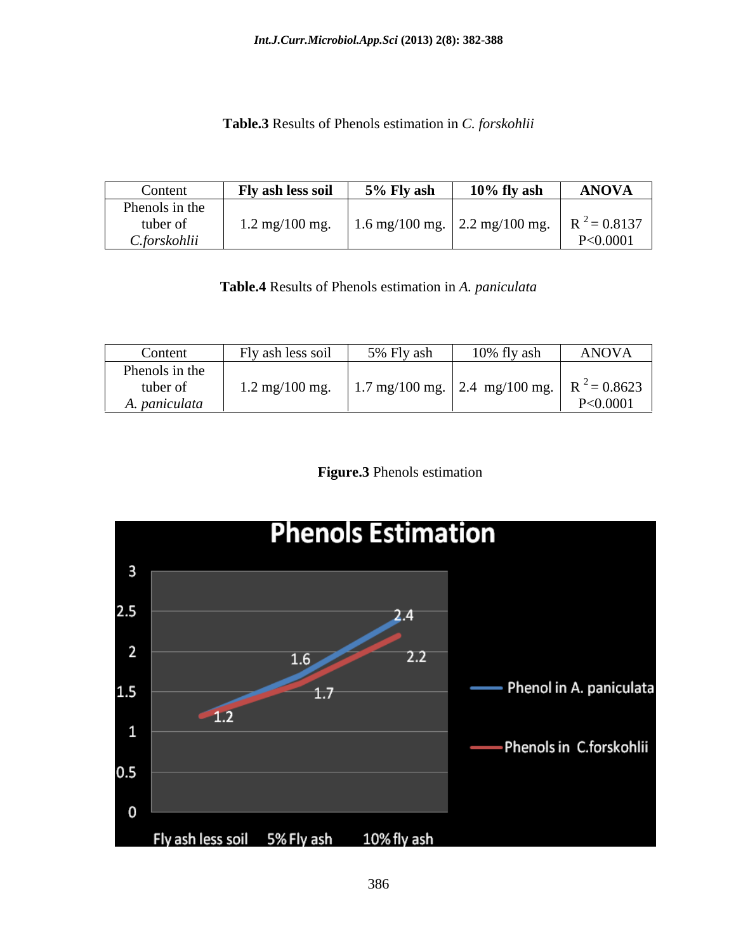### **Table.3** Results of Phenols estimation in *C. forskohlii*

| Content        | Fly ash less soi                                                  | 5% Fly ası | $10\%$ fly ash | <b>ANOVA</b> |
|----------------|-------------------------------------------------------------------|------------|----------------|--------------|
| Phenols in the |                                                                   |            |                |              |
| tuber or       | 1.2 mg/100 mg.   1.6 mg/100 mg.   2.2 mg/100 mg.   $R^2 = 0.8137$ |            |                |              |
| .forskohlii    |                                                                   |            |                | P<0.0001     |

**Table.4** Results of Phenols estimation in *A. paniculata*

| Content        | Fly ash less soil                | 5% Fly ash                                                    | 10% fly ash | ANOVA    |
|----------------|----------------------------------|---------------------------------------------------------------|-------------|----------|
| Phenols in the |                                  |                                                               |             |          |
| tuber of       | $1.2 \text{ mg}/100 \text{ mg}.$ | .   1.7 mg/100 mg.   2.4 mg/100 mg.   R <sup>2</sup> = 0.8623 |             |          |
| A. paniculata  |                                  |                                                               |             | P<0.0001 |

**Figure.3** Phenols estimation

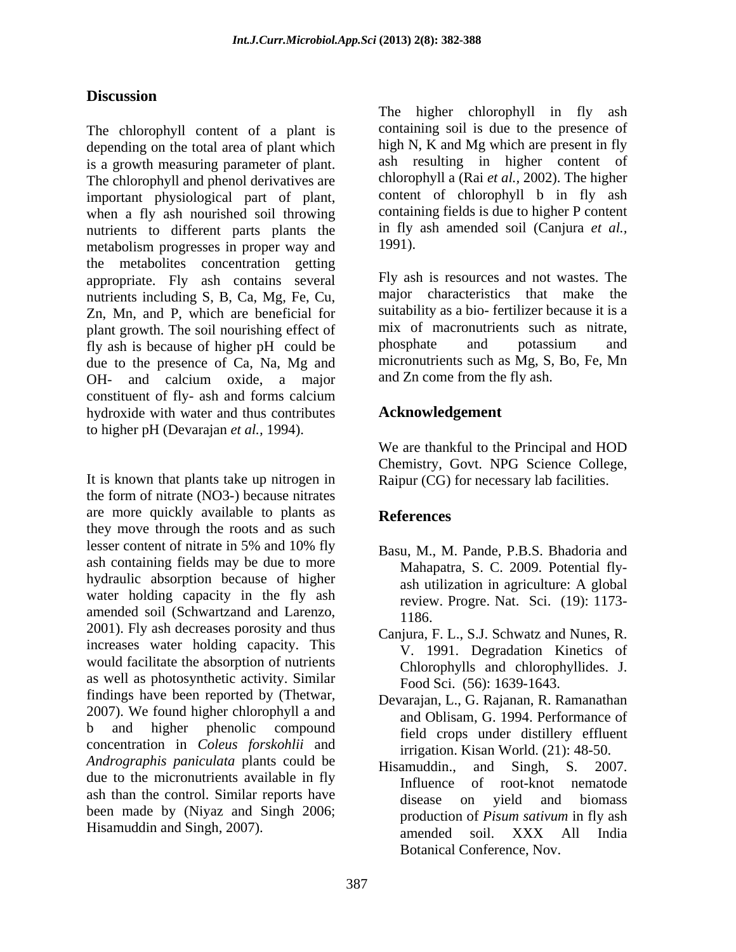# **Discussion**

The chlorophyll content of a plant is depending on the total area of plant which is a growth measuring parameter of plant. The chlorophyll and phenol derivatives are important physiological part of plant, content of chlorophyll b in fly ash when a fly ash nourished soil throwing containing fields is due to higher P content nutrients to different parts plants the in fly<br>metabolism progresses in proper way and 1991). metabolism progresses in proper way and the metabolites concentration getting appropriate. Fly ash contains several nutrients including S, B, Ca, Mg, Fe, Cu, Zn, Mn, and P, which are beneficial for plant growth. The soil nourishing effect of mix of macronutrients such as fly ash is because of higher pH could be phosphate and potassium fly ash is because of higher pH could be due to the presence of Ca, Na, Mg and OH- and calcium oxide, a major and Zn come from the fly ash. constituent of fly- ash and forms calcium hydroxide with water and thus contributes to higher pH (Devarajan *et al.,* 1994).

It is known that plants take up nitrogen in the form of nitrate (NO3-) because nitrates are more quickly available to plants as **References** they move through the roots and as such lesser content of nitrate in 5% and 10% fly  $R_{3811}$  M  $M_{29}$  P R S Rhadoria and ash containing fields may be due to more hydraulic absorption because of higher ash utilization in agriculture: A global water holding capacity in the fly ash amended soil (Schwartzand and Larenzo,  $\frac{1186}{2001}$ . Fly ash decreases porosity and thus Capiura E.I. S.I. Schwatz and Nunes R increases water holding capacity. This would facilitate the absorption of nutrients as well as photosynthetic activity. Similar findings have been reported by (Thetwar, findings have been reported by (Thetwar, Devarajan, L., G. Rajanan, R. Ramanathan 2007). We found higher chlorophyll a and  $\frac{100}{\text{and Ohlism}}$  G 1994 Performance of b and higher phenolic compound concentration in *Coleus forskohlii* and *Andrographis paniculata* plants could be **Hisamuddin**, and Singh, S. 2007. due to the micronutrients available in fly<br>Influence of root-knot nematode ash than the control. Similar reports have disease on yield and biomass been made by (Niyaz and Singh 2006; The chlorophyli content of a plant is continuity of the higher chlorophyli in the higher change on the high single and single which are present in the higher and controlled planeta change of plant is the main of plant in

containing soil is due to the presence of high N, K and Mg which are present in fly ash resulting in higher content of chlorophyll a (Rai *et al.,* 2002). The higher content of chlorophyll b in fly ash containing fields is due to higher P content in fly ash amended soil (Canjura *et al.,* 1991).

Fly ash is resources and not wastes. The major characteristics that make the suitability as a bio- fertilizer because it is a mix of macronutrients such as nitrate, phosphate and potassium and micronutrients such as Mg, S, Bo, Fe, Mn and Zn come from the fly ash.

# **Acknowledgement**

We are thankful to the Principal and HOD Chemistry, Govt. NPG Science College, Raipur (CG) for necessary lab facilities.

# **References**

- Basu, M., M. Pande, P.B.S. Bhadoria and Mahapatra, S. C. 2009. Potential fly ash utilization in agriculture: A global review. Progre. Nat. Sci. (19): 1173- 1186.
- Canjura, F. L., S.J. Schwatz and Nunes, R. V. 1991. Degradation Kinetics of Chlorophylls and chlorophyllides. J. Food Sci. (56): 1639-1643.
- Devarajan, L., G. Rajanan, R. Ramanathan and Oblisam, G. 1994. Performance of field crops under distillery effluent irrigation. Kisan World. (21): 48-50.
- Hisamuddin., and Singh, S. 2007. Influence of root-knot nematode disease on yield and biomass production of *Pisum sativum* in fly ash amended soil. XXX All India Botanical Conference, Nov.